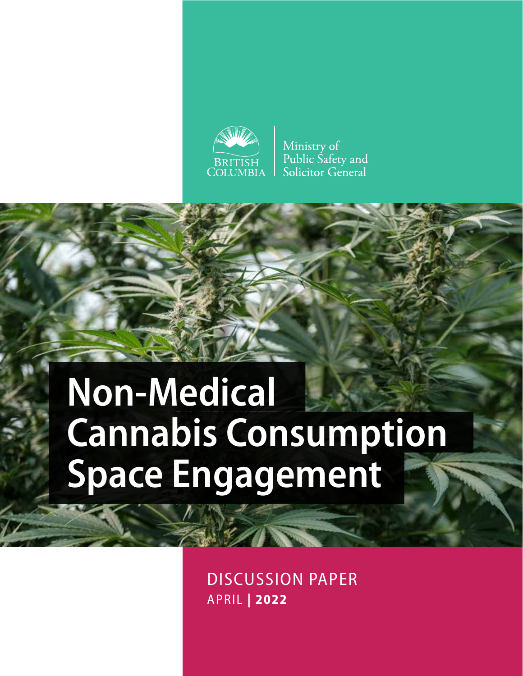

Ministry of Public Safety and Solicitor General

# **Non-Medical Cannabis Consumption Space Engagement**

DISCUSSION PAPER APRIL **| 2022**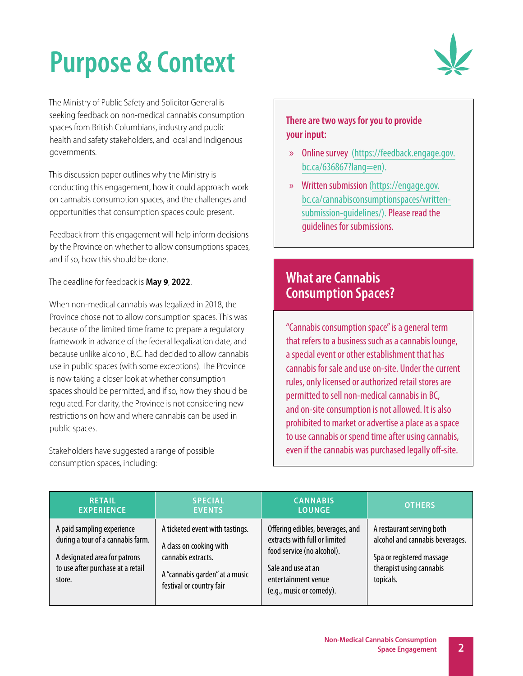# **Purpose & Context**



The Ministry of Public Safety and Solicitor General is seeking feedback on non-medical cannabis consumption spaces from British Columbians, industry and public health and safety stakeholders, and local and Indigenous governments.

This discussion paper outlines why the Ministry is conducting this engagement, how it could approach work on cannabis consumption spaces, and the challenges and opportunities that consumption spaces could present.

Feedback from this engagement will help inform decisions by the Province on whether to allow consumptions spaces, and if so, how this should be done.

The deadline for feedback is **May 9**, **2022**.

When non-medical cannabis was legalized in 2018, the Province chose not to allow consumption spaces. This was because of the limited time frame to prepare a regulatory framework in advance of the federal legalization date, and because unlike alcohol, B.C. had decided to allow cannabis use in public spaces (with some exceptions). The Province is now taking a closer look at whether consumption spaces should be permitted, and if so, how they should be regulated. For clarity, the Province is not considering new restrictions on how and where cannabis can be used in public spaces.

Stakeholders have suggested a range of possible consumption spaces, including:

### **There are two ways for you to provide your input:**

- » Online survey [\(https://feedback.engage.gov.](https://feedback.engage.gov.bc.ca/636867?lang=en) [bc.ca/636867?lang=en\)](https://feedback.engage.gov.bc.ca/636867?lang=en).
- » Written submission ([https://engage.gov.](https://engage.gov.bc.ca/cannabisconsumptionspaces/written-submission-guidelines/) [bc.ca/cannabisconsumptionspaces/written](https://engage.gov.bc.ca/cannabisconsumptionspaces/written-submission-guidelines/)[submission-guidelines/\)](https://engage.gov.bc.ca/cannabisconsumptionspaces/written-submission-guidelines/). Please read the guidelines for submissions.

# **What are Cannabis Consumption Spaces?**

"Cannabis consumption space" is a general term that refers to a business such as a cannabis lounge, a special event or other establishment that has cannabis for sale and use on-site. Under the current rules, only licensed or authorized retail stores are permitted to sell non-medical cannabis in BC, and on-site consumption is not allowed. It is also prohibited to market or advertise a place as a space to use cannabis or spend time after using cannabis, even if the cannabis was purchased legally off-site.

| <b>RETAIL</b>                                                                                                                                   | <b>SPECIAL</b>                                                                                                                                 | <b>CANNABIS</b>                                                                                                                                                          | <b>OTHERS</b>                                                                                                                      |
|-------------------------------------------------------------------------------------------------------------------------------------------------|------------------------------------------------------------------------------------------------------------------------------------------------|--------------------------------------------------------------------------------------------------------------------------------------------------------------------------|------------------------------------------------------------------------------------------------------------------------------------|
| <b>EXPERIENCE</b>                                                                                                                               | <b>EVENTS</b>                                                                                                                                  | <b>LOUNGE</b>                                                                                                                                                            |                                                                                                                                    |
| A paid sampling experience<br>during a tour of a cannabis farm.<br>A designated area for patrons<br>to use after purchase at a retail<br>store. | A ticketed event with tastings.<br>A class on cooking with<br>cannabis extracts.<br>A "cannabis garden" at a music<br>festival or country fair | Offering edibles, beverages, and<br>extracts with full or limited<br>food service (no alcohol).<br>Sale and use at an<br>entertainment venue<br>(e.g., music or comedy). | A restaurant serving both<br>alcohol and cannabis beverages.<br>Spa or registered massage<br>therapist using cannabis<br>topicals. |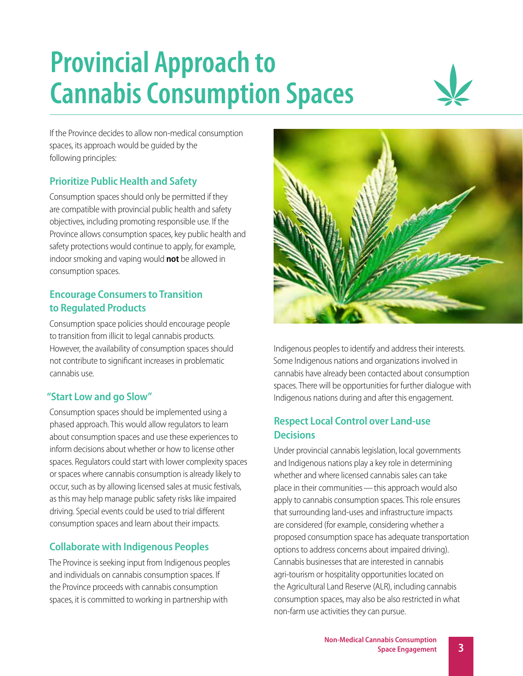# **Provincial Approach to Cannabis Consumption Spaces**



If the Province decides to allow non-medical consumption spaces, its approach would be guided by the following principles:

## **Prioritize Public Health and Safety**

Consumption spaces should only be permitted if they are compatible with provincial public health and safety objectives, including promoting responsible use. If the Province allows consumption spaces, key public health and safety protections would continue to apply, for example, indoor smoking and vaping would **not** be allowed in consumption spaces.

### **Encourage Consumers to Transition to Regulated Products**

Consumption space policies should encourage people to transition from illicit to legal cannabis products. However, the availability of consumption spaces should not contribute to significant increases in problematic cannabis use.

### **"Start Low and go Slow"**

Consumption spaces should be implemented using a phased approach. This would allow regulators to learn about consumption spaces and use these experiences to inform decisions about whether or how to license other spaces. Regulators could start with lower complexity spaces or spaces where cannabis consumption is already likely to occur, such as by allowing licensed sales at music festivals, as this may help manage public safety risks like impaired driving. Special events could be used to trial different consumption spaces and learn about their impacts.

## **Collaborate with Indigenous Peoples**

The Province is seeking input from Indigenous peoples and individuals on cannabis consumption spaces. If the Province proceeds with cannabis consumption spaces, it is committed to working in partnership with



Indigenous peoples to identify and address their interests. Some Indigenous nations and organizations involved in cannabis have already been contacted about consumption spaces. There will be opportunities for further dialogue with Indigenous nations during and after this engagement.

### **Respect Local Control over Land-use Decisions**

Under provincial cannabis legislation, local governments and Indigenous nations play a key role in determining whether and where licensed cannabis sales can take place in their communities—this approach would also apply to cannabis consumption spaces. This role ensures that surrounding land-uses and infrastructure impacts are considered (for example, considering whether a proposed consumption space has adequate transportation options to address concerns about impaired driving). Cannabis businesses that are interested in cannabis agri-tourism or hospitality opportunities located on the Agricultural Land Reserve (ALR), including cannabis consumption spaces, may also be also restricted in what non-farm use activities they can pursue.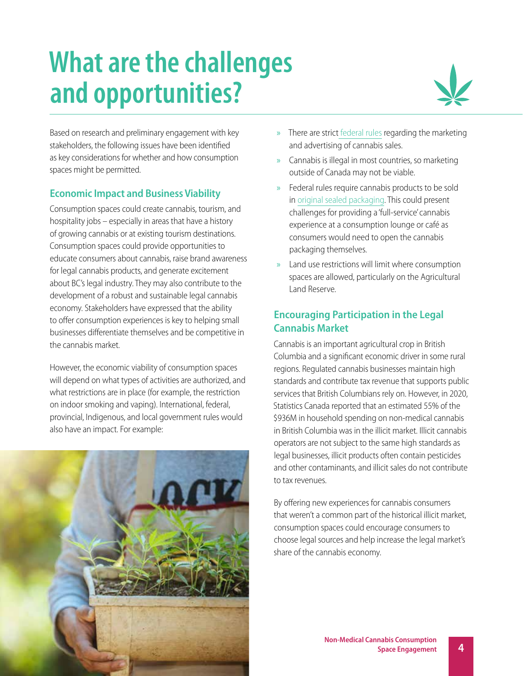# **What are the challenges and opportunities?**



Based on research and preliminary engagement with key stakeholders, the following issues have been identified as key considerations for whether and how consumption spaces might be permitted.

## **Economic Impact and Business Viability**

Consumption spaces could create cannabis, tourism, and hospitality jobs – especially in areas that have a history of growing cannabis or at existing tourism destinations. Consumption spaces could provide opportunities to educate consumers about cannabis, raise brand awareness for legal cannabis products, and generate excitement about BC's legal industry. They may also contribute to the development of a robust and sustainable legal cannabis economy. Stakeholders have expressed that the ability to offer consumption experiences is key to helping small businesses differentiate themselves and be competitive in the cannabis market.

However, the economic viability of consumption spaces will depend on what types of activities are authorized, and what restrictions are in place (for example, the restriction on indoor smoking and vaping). International, federal, provincial, Indigenous, and local government rules would also have an impact. For example:



- » There are strict [federal rules](https://www.canada.ca/en/health-canada/services/drugs-medication/cannabis/laws-regulations/promotion-prohibitions.html) regarding the marketing and advertising of cannabis sales.
- » Cannabis is illegal in most countries, so marketing outside of Canada may not be viable.
- » Federal rules require cannabis products to be sold in [original sealed packaging](https://www.canada.ca/en/health-canada/services/cannabis-regulations-licensed-producers/packaging-labelling-guide-cannabis-products/guide.html). This could present challenges for providing a 'full-service' cannabis experience at a consumption lounge or café as consumers would need to open the cannabis packaging themselves.
- » Land use restrictions will limit where consumption spaces are allowed, particularly on the Agricultural Land Reserve.

# **Encouraging Participation in the Legal Cannabis Market**

Cannabis is an important agricultural crop in British Columbia and a significant economic driver in some rural regions. Regulated cannabis businesses maintain high standards and contribute tax revenue that supports public services that British Columbians rely on. However, in 2020, Statistics Canada reported that an estimated 55% of the \$936M in household spending on non-medical cannabis in British Columbia was in the illicit market. Illicit cannabis operators are not subject to the same high standards as legal businesses, illicit products often contain pesticides and other contaminants, and illicit sales do not contribute to tax revenues.

By offering new experiences for cannabis consumers that weren't a common part of the historical illicit market, consumption spaces could encourage consumers to choose legal sources and help increase the legal market's share of the cannabis economy.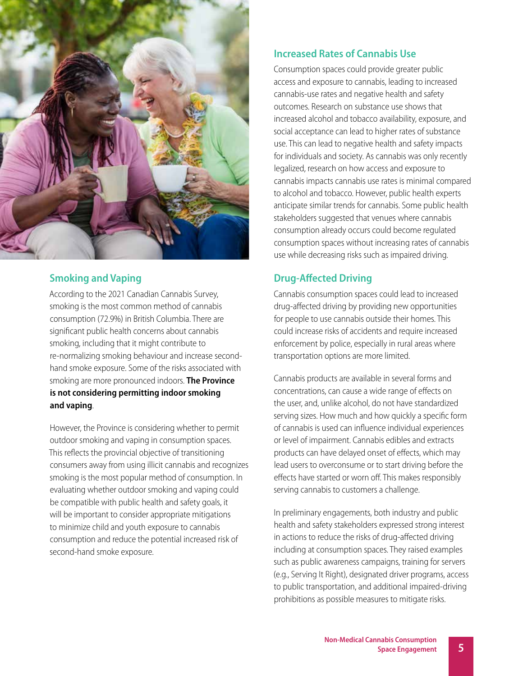

### **Smoking and Vaping**

According to the 2021 Canadian Cannabis Survey, smoking is the most common method of cannabis consumption (72.9%) in British Columbia. There are significant public health concerns about cannabis smoking, including that it might contribute to re-normalizing smoking behaviour and increase secondhand smoke exposure. Some of the risks associated with smoking are more pronounced indoors. **The Province is not considering permitting indoor smoking and vaping**.

However, the Province is considering whether to permit outdoor smoking and vaping in consumption spaces. This reflects the provincial objective of transitioning consumers away from using illicit cannabis and recognizes smoking is the most popular method of consumption. In evaluating whether outdoor smoking and vaping could be compatible with public health and safety goals, it will be important to consider appropriate mitigations to minimize child and youth exposure to cannabis consumption and reduce the potential increased risk of second-hand smoke exposure.

### **Increased Rates of Cannabis Use**

Consumption spaces could provide greater public access and exposure to cannabis, leading to increased cannabis-use rates and negative health and safety outcomes. Research on substance use shows that increased alcohol and tobacco availability, exposure, and social acceptance can lead to higher rates of substance use. This can lead to negative health and safety impacts for individuals and society. As cannabis was only recently legalized, research on how access and exposure to cannabis impacts cannabis use rates is minimal compared to alcohol and tobacco. However, public health experts anticipate similar trends for cannabis. Some public health stakeholders suggested that venues where cannabis consumption already occurs could become regulated consumption spaces without increasing rates of cannabis use while decreasing risks such as impaired driving.

### **Drug-Affected Driving**

Cannabis consumption spaces could lead to increased drug-affected driving by providing new opportunities for people to use cannabis outside their homes. This could increase risks of accidents and require increased enforcement by police, especially in rural areas where transportation options are more limited.

Cannabis products are available in several forms and concentrations, can cause a wide range of effects on the user, and, unlike alcohol, do not have standardized serving sizes. How much and how quickly a specific form of cannabis is used can influence individual experiences or level of impairment. Cannabis edibles and extracts products can have delayed onset of effects, which may lead users to overconsume or to start driving before the effects have started or worn off. This makes responsibly serving cannabis to customers a challenge.

In preliminary engagements, both industry and public health and safety stakeholders expressed strong interest in actions to reduce the risks of drug-affected driving including at consumption spaces. They raised examples such as public awareness campaigns, training for servers (e.g., Serving It Right), designated driver programs, access to public transportation, and additional impaired-driving prohibitions as possible measures to mitigate risks.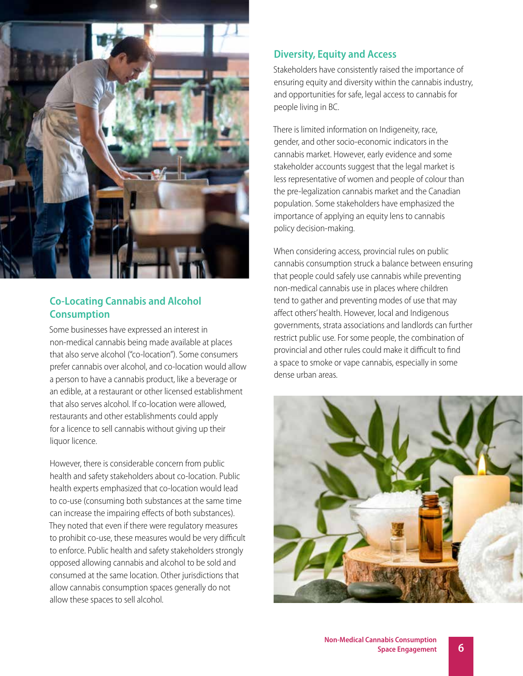

### **Co-Locating Cannabis and Alcohol Consumption**

Some businesses have expressed an interest in non-medical cannabis being made available at places that also serve alcohol ("co-location"). Some consumers prefer cannabis over alcohol, and co-location would allow a person to have a cannabis product, like a beverage or an edible, at a restaurant or other licensed establishment that also serves alcohol. If co-location were allowed, restaurants and other establishments could apply for a licence to sell cannabis without giving up their liquor licence.

However, there is considerable concern from public health and safety stakeholders about co-location. Public health experts emphasized that co-location would lead to co-use (consuming both substances at the same time can increase the impairing effects of both substances). They noted that even if there were regulatory measures to prohibit co-use, these measures would be very difficult to enforce. Public health and safety stakeholders strongly opposed allowing cannabis and alcohol to be sold and consumed at the same location. Other jurisdictions that allow cannabis consumption spaces generally do not allow these spaces to sell alcohol.

### **Diversity, Equity and Access**

Stakeholders have consistently raised the importance of ensuring equity and diversity within the cannabis industry, and opportunities for safe, legal access to cannabis for people living in BC.

There is limited information on Indigeneity, race, gender, and other socio-economic indicators in the cannabis market. However, early evidence and some stakeholder accounts suggest that the legal market is less representative of women and people of colour than the pre-legalization cannabis market and the Canadian population. Some stakeholders have emphasized the importance of applying an equity lens to cannabis policy decision-making.

When considering access, provincial rules on public cannabis consumption struck a balance between ensuring that people could safely use cannabis while preventing non-medical cannabis use in places where children tend to gather and preventing modes of use that may affect others' health. However, local and Indigenous governments, strata associations and landlords can further restrict public use. For some people, the combination of provincial and other rules could make it difficult to find a space to smoke or vape cannabis, especially in some dense urban areas.

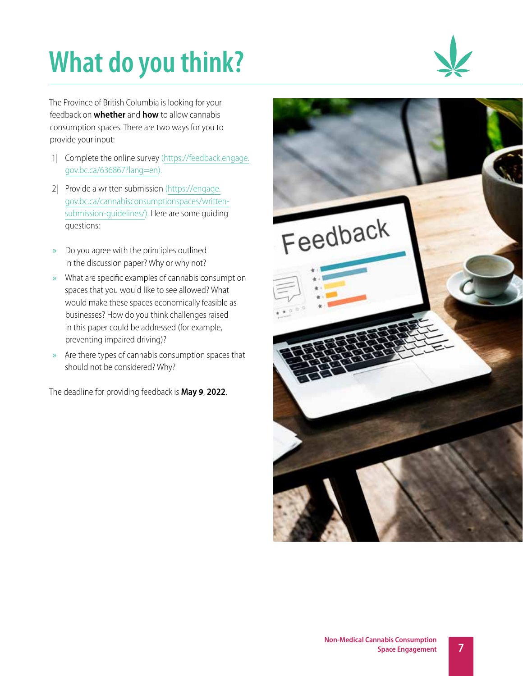# **What do you think?**



The Province of British Columbia is looking for your feedback on **whether** and **how** to allow cannabis consumption spaces. There are two ways for you to provide your input:

- 1| Complete the online survey ([https://feedback.engage.](https://feedback.engage.gov.bc.ca/636867?lang=en) [gov.bc.ca/636867?lang=en](https://feedback.engage.gov.bc.ca/636867?lang=en)).
- 2| Provide a written submission [\(https://engage.](https://engage.gov.bc.ca/cannabisconsumptionspaces/written-submission-guidelines/) [gov.bc.ca/cannabisconsumptionspaces/written](https://engage.gov.bc.ca/cannabisconsumptionspaces/written-submission-guidelines/)[submission-guidelines/\)](https://engage.gov.bc.ca/cannabisconsumptionspaces/written-submission-guidelines/). Here are some guiding questions:
- » Do you agree with the principles outlined in the discussion paper? Why or why not?
- » What are specific examples of cannabis consumption spaces that you would like to see allowed? What would make these spaces economically feasible as businesses? How do you think challenges raised in this paper could be addressed (for example, preventing impaired driving)?
- » Are there types of cannabis consumption spaces that should not be considered? Why?

The deadline for providing feedback is **May 9**, **2022**.

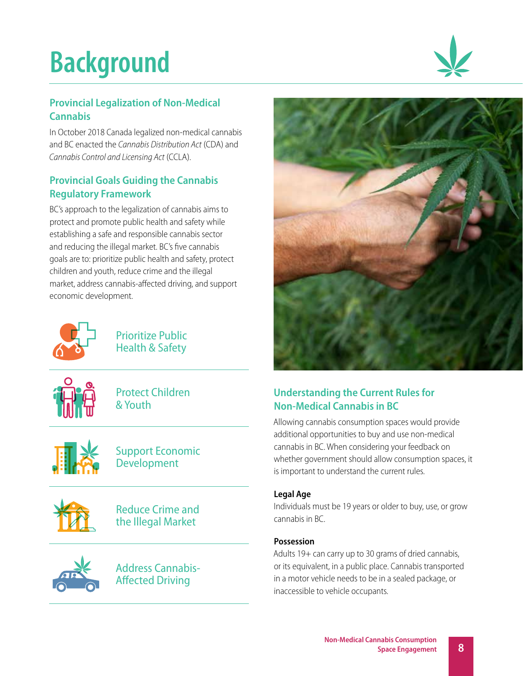# **Background**



## **Provincial Legalization of Non-Medical Cannabis**

In October 2018 Canada legalized non-medical cannabis and BC enacted the *Cannabis Distribution Act* (CDA) and *Cannabis Control and Licensing Act* (CCLA).

### **Provincial Goals Guiding the Cannabis Regulatory Framework**

BC's approach to the legalization of cannabis aims to protect and promote public health and safety while establishing a safe and responsible cannabis sector and reducing the illegal market. BC's five cannabis goals are to: prioritize public health and safety, protect children and youth, reduce crime and the illegal market, address cannabis-affected driving, and support economic development.



Prioritize Public Health & Safety



Protect Children & Youth



Support Economic Development



Reduce Crime and the Illegal Market



Address Cannabis-Affected Driving



# **Understanding the Current Rules for Non-Medical Cannabis in BC**

Allowing cannabis consumption spaces would provide additional opportunities to buy and use non-medical cannabis in BC. When considering your feedback on whether government should allow consumption spaces, it is important to understand the current rules.

### **Legal Age**

Individuals must be 19 years or older to buy, use, or grow cannabis in BC.

### **Possession**

Adults 19+ can carry up to 30 grams of dried cannabis, or its equivalent, in a public place. Cannabis transported in a motor vehicle needs to be in a sealed package, or inaccessible to vehicle occupants.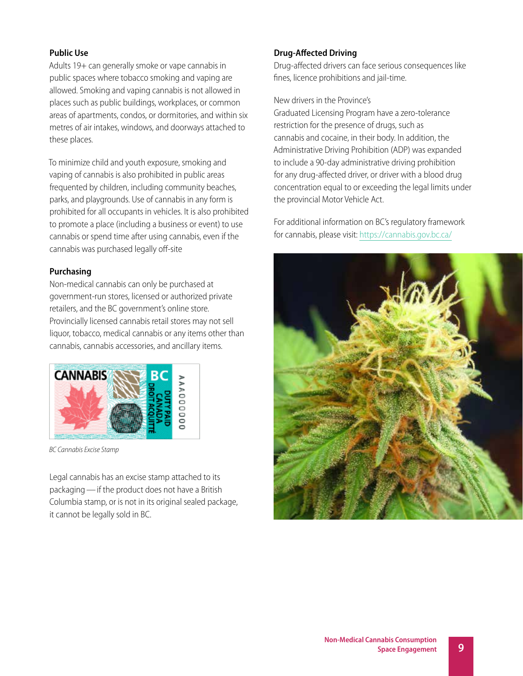#### **Public Use**

Adults 19+ can generally smoke or vape cannabis in public spaces where tobacco smoking and vaping are allowed. Smoking and vaping cannabis is not allowed in places such as public buildings, workplaces, or common areas of apartments, condos, or dormitories, and within six metres of air intakes, windows, and doorways attached to these places.

To minimize child and youth exposure, smoking and vaping of cannabis is also prohibited in public areas frequented by children, including community beaches, parks, and playgrounds. Use of cannabis in any form is prohibited for all occupants in vehicles. It is also prohibited to promote a place (including a business or event) to use cannabis or spend time after using cannabis, even if the cannabis was purchased legally off-site

#### **Purchasing**

Non-medical cannabis can only be purchased at government-run stores, licensed or authorized private retailers, and the BC government's online store. Provincially licensed cannabis retail stores may not sell liquor, tobacco, medical cannabis or any items other than cannabis, cannabis accessories, and ancillary items.



*BC Cannabis Excise Stamp*

Legal cannabis has an excise stamp attached to its packaging—if the product does not have a British Columbia stamp, or is not in its original sealed package, it cannot be legally sold in BC.

#### **Drug-Affected Driving**

Drug-affected drivers can face serious consequences like fines, licence prohibitions and jail-time.

#### New drivers in the Province's

Graduated Licensing Program have a zero-tolerance restriction for the presence of drugs, such as cannabis and cocaine, in their body. In addition, the Administrative Driving Prohibition (ADP) was expanded to include a 90-day administrative driving prohibition for any drug-affected driver, or driver with a blood drug concentration equal to or exceeding the legal limits under the provincial Motor Vehicle Act.

For additional information on BC's regulatory framework for cannabis, please visit: https://cannabis.gov.bc.ca/